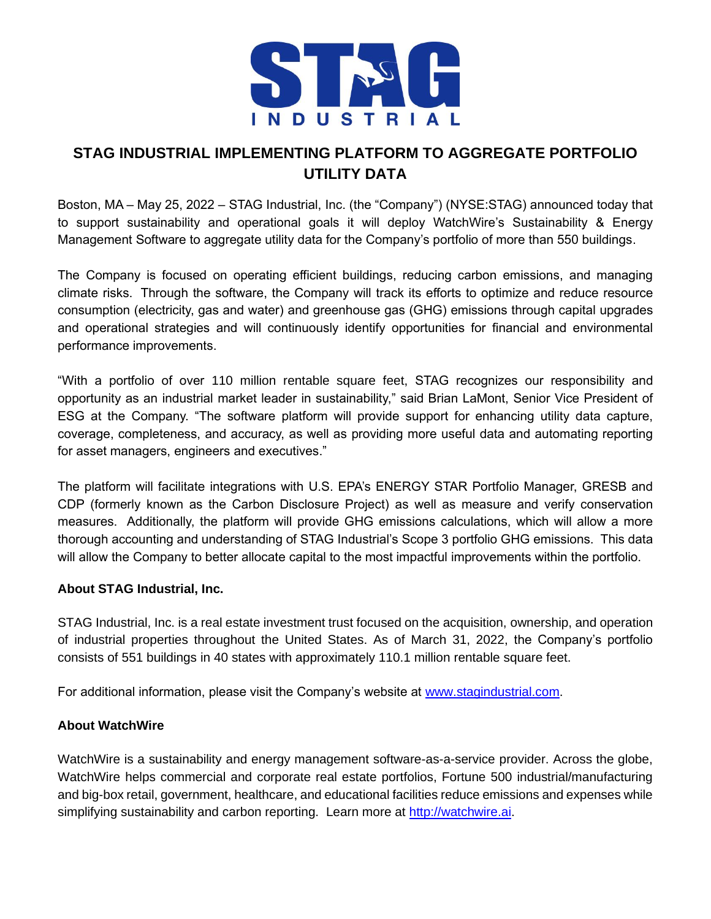

# **STAG INDUSTRIAL IMPLEMENTING PLATFORM TO AGGREGATE PORTFOLIO UTILITY DATA**

Boston, MA – May 25, 2022 – STAG Industrial, Inc. (the "Company") (NYSE:STAG) announced today that to support sustainability and operational goals it will deploy WatchWire's Sustainability & Energy Management Software to aggregate utility data for the Company's portfolio of more than 550 buildings.

The Company is focused on operating efficient buildings, reducing carbon emissions, and managing climate risks. Through the software, the Company will track its efforts to optimize and reduce resource consumption (electricity, gas and water) and greenhouse gas (GHG) emissions through capital upgrades and operational strategies and will continuously identify opportunities for financial and environmental performance improvements.

"With a portfolio of over 110 million rentable square feet, STAG recognizes our responsibility and opportunity as an industrial market leader in sustainability," said Brian LaMont, Senior Vice President of ESG at the Company. "The software platform will provide support for enhancing utility data capture, coverage, completeness, and accuracy, as well as providing more useful data and automating reporting for asset managers, engineers and executives."

The platform will facilitate integrations with U.S. EPA's ENERGY STAR Portfolio Manager, GRESB and CDP (formerly known as the Carbon Disclosure Project) as well as measure and verify conservation measures. Additionally, the platform will provide GHG emissions calculations, which will allow a more thorough accounting and understanding of STAG Industrial's Scope 3 portfolio GHG emissions. This data will allow the Company to better allocate capital to the most impactful improvements within the portfolio.

#### **About STAG Industrial, Inc.**

STAG Industrial, Inc. is a real estate investment trust focused on the acquisition, ownership, and operation of industrial properties throughout the United States. As of March 31, 2022, the Company's portfolio consists of 551 buildings in 40 states with approximately 110.1 million rentable square feet.

For additional information, please visit the Company's website at [www.stagindustrial.com.](http://cts.businesswire.com/ct/CT?id=smartlink&url=http%3A%2F%2Fwww.stagindustrial.com&esheet=6799241&lan=en-US&anchor=www.stagindustrial.com&index=1&md5=be293eaa4e12e4d757d45a2975e5356f)

## **About WatchWire**

WatchWire is a sustainability and energy management software-as-a-service provider. Across the globe, WatchWire helps commercial and corporate real estate portfolios, Fortune 500 industrial/manufacturing and big-box retail, government, healthcare, and educational facilities reduce emissions and expenses while simplifying sustainability and carbon reporting. Learn more at [http://watchwire.ai.](http://watchwire.ai/)